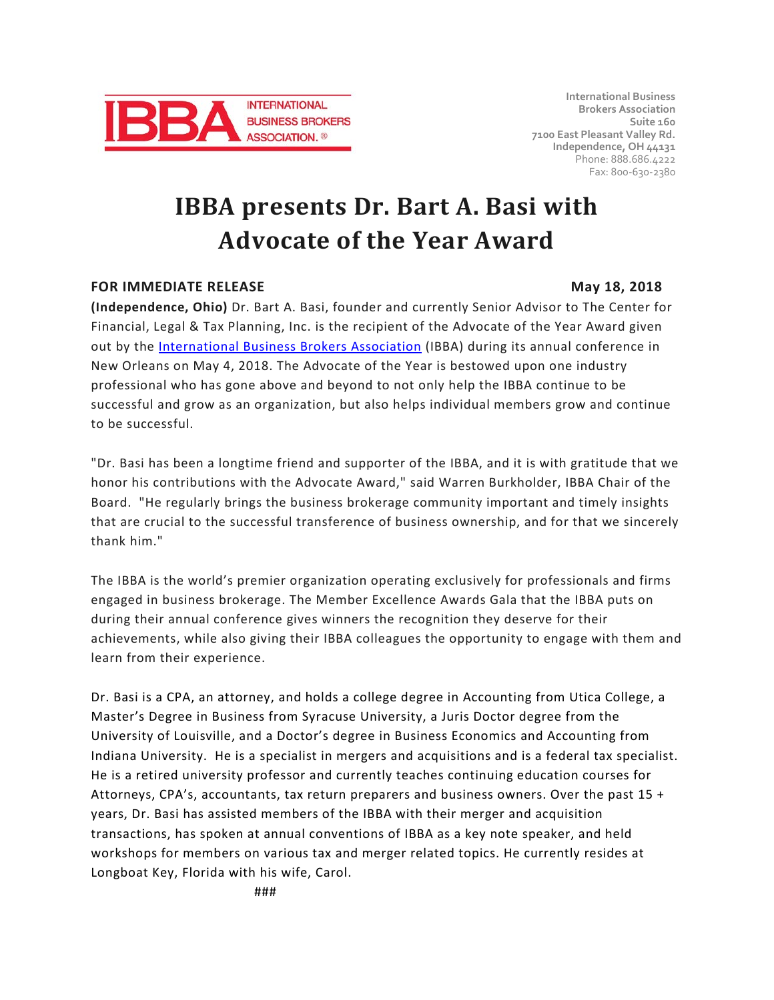

**International Business Brokers Association Suite 160 7100 East Pleasant Valley Rd. Independence, OH 44131** Phone: 888.686.4222 Fax: 800-630-2380

# **IBBA presents Dr. Bart A. Basi with Advocate of the Year Award**

## **FOR IMMEDIATE RELEASE May 18, 2018**

**(Independence, Ohio)** Dr. Bart A. Basi, founder and currently Senior Advisor to The Center for Financial, Legal & Tax Planning, Inc. is the recipient of the Advocate of the Year Award given out by the [International Business Brokers Association](https://www.ibba.org/) (IBBA) during its annual conference in New Orleans on May 4, 2018. The Advocate of the Year is bestowed upon one industry

professional who has gone above and beyond to not only help the IBBA continue to be successful and grow as an organization, but also helps individual members grow and continue to be successful.

"Dr. Basi has been a longtime friend and supporter of the IBBA, and it is with gratitude that we honor his contributions with the Advocate Award," said Warren Burkholder, IBBA Chair of the Board. "He regularly brings the business brokerage community important and timely insights that are crucial to the successful transference of business ownership, and for that we sincerely thank him."

The IBBA is the world's premier organization operating exclusively for professionals and firms engaged in business brokerage. The Member Excellence Awards Gala that the IBBA puts on during their annual conference gives winners the recognition they deserve for their achievements, while also giving their IBBA colleagues the opportunity to engage with them and learn from their experience.

Dr. Basi is a CPA, an attorney, and holds a college degree in Accounting from Utica College, a Master's Degree in Business from Syracuse University, a Juris Doctor degree from the University of Louisville, and a Doctor's degree in Business Economics and Accounting from Indiana University. He is a specialist in mergers and acquisitions and is a federal tax specialist. He is a retired university professor and currently teaches continuing education courses for Attorneys, CPA's, accountants, tax return preparers and business owners. Over the past 15 + years, Dr. Basi has assisted members of the IBBA with their merger and acquisition transactions, has spoken at annual conventions of IBBA as a key note speaker, and held workshops for members on various tax and merger related topics. He currently resides at Longboat Key, Florida with his wife, Carol.